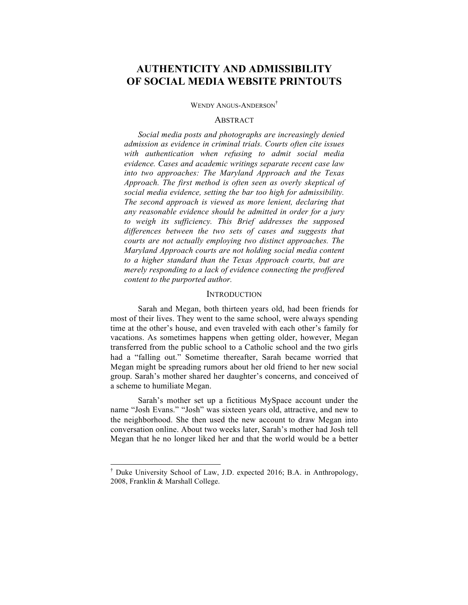# **AUTHENTICITY AND ADMISSIBILITY OF SOCIAL MEDIA WEBSITE PRINTOUTS**

WENDY ANGUS-ANDERSON<sup>†</sup>

#### **ABSTRACT**

*Social media posts and photographs are increasingly denied admission as evidence in criminal trials. Courts often cite issues with authentication when refusing to admit social media evidence. Cases and academic writings separate recent case law into two approaches: The Maryland Approach and the Texas Approach. The first method is often seen as overly skeptical of social media evidence, setting the bar too high for admissibility. The second approach is viewed as more lenient, declaring that any reasonable evidence should be admitted in order for a jury to weigh its sufficiency. This Brief addresses the supposed differences between the two sets of cases and suggests that courts are not actually employing two distinct approaches. The Maryland Approach courts are not holding social media content to a higher standard than the Texas Approach courts, but are merely responding to a lack of evidence connecting the proffered content to the purported author.*

#### **INTRODUCTION**

Sarah and Megan, both thirteen years old, had been friends for most of their lives. They went to the same school, were always spending time at the other's house, and even traveled with each other's family for vacations. As sometimes happens when getting older, however, Megan transferred from the public school to a Catholic school and the two girls had a "falling out." Sometime thereafter, Sarah became worried that Megan might be spreading rumors about her old friend to her new social group. Sarah's mother shared her daughter's concerns, and conceived of a scheme to humiliate Megan.

Sarah's mother set up a fictitious MySpace account under the name "Josh Evans." "Josh" was sixteen years old, attractive, and new to the neighborhood. She then used the new account to draw Megan into conversation online. About two weeks later, Sarah's mother had Josh tell Megan that he no longer liked her and that the world would be a better

 <sup>†</sup> Duke University School of Law, J.D. expected 2016; B.A. in Anthropology, 2008, Franklin & Marshall College.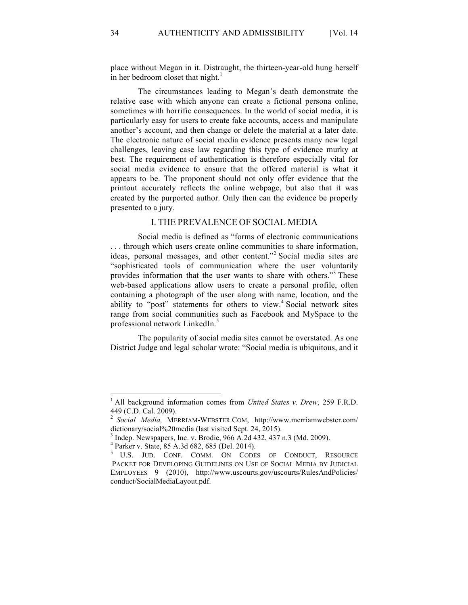place without Megan in it. Distraught, the thirteen-year-old hung herself in her bedroom closet that night.<sup>1</sup>

The circumstances leading to Megan's death demonstrate the relative ease with which anyone can create a fictional persona online, sometimes with horrific consequences. In the world of social media, it is particularly easy for users to create fake accounts, access and manipulate another's account, and then change or delete the material at a later date. The electronic nature of social media evidence presents many new legal challenges, leaving case law regarding this type of evidence murky at best. The requirement of authentication is therefore especially vital for social media evidence to ensure that the offered material is what it appears to be. The proponent should not only offer evidence that the printout accurately reflects the online webpage, but also that it was created by the purported author. Only then can the evidence be properly presented to a jury.

## I. THE PREVALENCE OF SOCIAL MEDIA

Social media is defined as "forms of electronic communications . . . through which users create online communities to share information, ideas, personal messages, and other content."<sup>2</sup> Social media sites are "sophisticated tools of communication where the user voluntarily provides information that the user wants to share with others."<sup>3</sup> These web-based applications allow users to create a personal profile, often containing a photograph of the user along with name, location, and the ability to "post" statements for others to view.<sup>4</sup> Social network sites range from social communities such as Facebook and MySpace to the professional network LinkedIn.<sup>5</sup>

The popularity of social media sites cannot be overstated. As one District Judge and legal scholar wrote: "Social media is ubiquitous, and it

 <sup>1</sup> All background information comes from *United States v. Drew*, 259 F.R.D. 449 (C.D. Cal. 2009).

<sup>2</sup> *Social Media,* MERRIAM-WEBSTER.COM, http://www.merriamwebster.com/

dictionary/social%20media (last visited Sept. 24, 2015).<br><sup>3</sup> Indep. Newspapers, Inc. v. Brodie, 966 A.2d 432, 437 n.3 (Md. 2009).<br><sup>4</sup> Parker v. State, 85 A.3d 682, 685 (Del. 2014).

<sup>5</sup> U.S. JUD. CONF. COMM. ON CODES OF CONDUCT, RESOURCE PACKET FOR DEVELOPING GUIDELINES ON USE OF SOCIAL MEDIA BY JUDICIAL EMPLOYEES 9 (2010), http://www.uscourts.gov/uscourts/RulesAndPolicies/ conduct/SocialMediaLayout.pdf.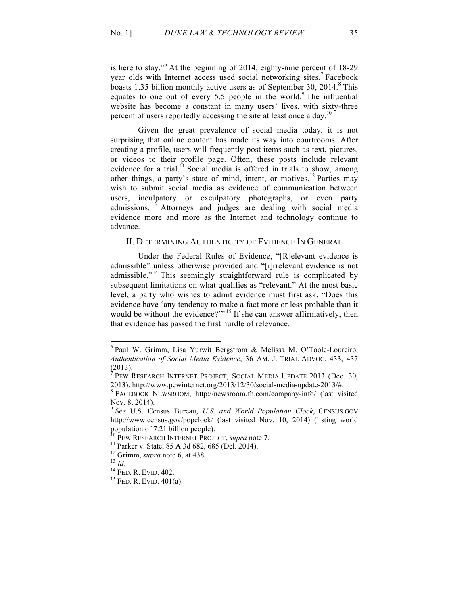is here to stay."<sup>6</sup> At the beginning of 2014, eighty-nine percent of 18-29 year olds with Internet access used social networking sites.<sup>7</sup> Facebook boasts 1.35 billion monthly active users as of September 30, 2014.<sup>8</sup> This equates to one out of every 5.5 people in the world.<sup>9</sup> The influential website has become a constant in many users' lives, with sixty-three percent of users reportedly accessing the site at least once a day.<sup>10</sup>

Given the great prevalence of social media today, it is not surprising that online content has made its way into courtrooms. After creating a profile, users will frequently post items such as text, pictures, or videos to their profile page. Often, these posts include relevant evidence for a trial.<sup>11</sup> Social media is offered in trials to show, among other things, a party's state of mind, intent, or motives.<sup>12</sup> Parties may wish to submit social media as evidence of communication between users, inculpatory or exculpatory photographs, or even party admissions.<sup>13</sup> Attorneys and judges are dealing with social media evidence more and more as the Internet and technology continue to advance.

### II. DETERMINING AUTHENTICITY OF EVIDENCE IN GENERAL

Under the Federal Rules of Evidence, "[R]elevant evidence is admissible" unless otherwise provided and "[i]rrelevant evidence is not admissible."<sup>14</sup> This seemingly straightforward rule is complicated by subsequent limitations on what qualifies as "relevant." At the most basic level, a party who wishes to admit evidence must first ask, "Does this evidence have 'any tendency to make a fact more or less probable than it would be without the evidence?"<sup>15</sup> If she can answer affirmatively, then that evidence has passed the first hurdle of relevance.

 <sup>6</sup> Paul W. Grimm, Lisa Yurwit Bergstrom & Melissa M. O'Toole-Loureiro, *Authentication of Social Media Evidence*, 36 AM. J. TRIAL ADVOC. 433, 437  $(2013).$ 

PEW RESEARCH INTERNET PROJECT, SOCIAL MEDIA UPDATE 2013 (Dec. 30, 2013), http://www.pewinternet.org/2013/12/30/social-media-update-2013/#.<br><sup>8</sup> FACEBOOK NEWSROOM, http://newsroom.fb.com/company-info/ (last visited

Nov. 8, 2014).

<sup>9</sup> *See* U.S. Census Bureau, *U.S. and World Population Clock*, CENSUS.GOV http://www.census.gov/popclock/ (last visited Nov. 10, 2014) (listing world population of 7.21 billion people).<br><sup>10</sup> PEW RESEARCH INTERNET PROJECT, *supra* note 7.

<sup>&</sup>lt;sup>11</sup> Parker v. State, 85 A.3d 682, 685 (Del. 2014).<br><sup>12</sup> Grimm, *supra* note 6, at 438.<br><sup>13</sup> *Id.* <sup>14</sup> FED. R. EVID. 402. <sup>15</sup> FED. R. EVID. 401(a).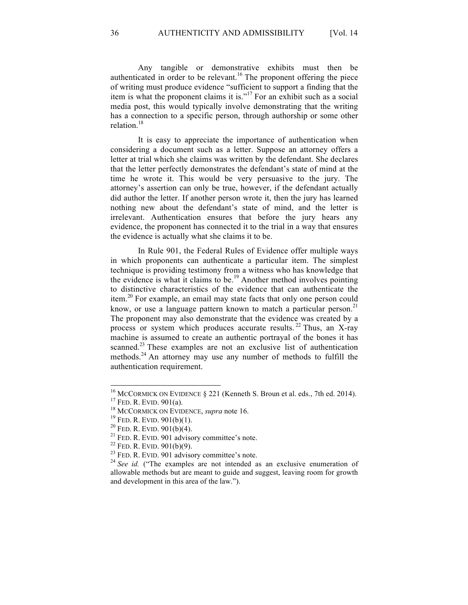Any tangible or demonstrative exhibits must then be authenticated in order to be relevant.<sup>16</sup> The proponent offering the piece of writing must produce evidence "sufficient to support a finding that the item is what the proponent claims it is."<sup>17</sup> For an exhibit such as a social media post, this would typically involve demonstrating that the writing has a connection to a specific person, through authorship or some other relation.<sup>18</sup>

It is easy to appreciate the importance of authentication when considering a document such as a letter. Suppose an attorney offers a letter at trial which she claims was written by the defendant. She declares that the letter perfectly demonstrates the defendant's state of mind at the time he wrote it. This would be very persuasive to the jury. The attorney's assertion can only be true, however, if the defendant actually did author the letter. If another person wrote it, then the jury has learned nothing new about the defendant's state of mind, and the letter is irrelevant. Authentication ensures that before the jury hears any evidence, the proponent has connected it to the trial in a way that ensures the evidence is actually what she claims it to be.

In Rule 901, the Federal Rules of Evidence offer multiple ways in which proponents can authenticate a particular item. The simplest technique is providing testimony from a witness who has knowledge that the evidence is what it claims to be. <sup>19</sup> Another method involves pointing to distinctive characteristics of the evidence that can authenticate the item.<sup>20</sup> For example, an email may state facts that only one person could know, or use a language pattern known to match a particular person.<sup>21</sup> The proponent may also demonstrate that the evidence was created by a process or system which produces accurate results.  $^{22}$  Thus, an X-ray machine is assumed to create an authentic portrayal of the bones it has scanned.<sup>23</sup> These examples are not an exclusive list of authentication methods.<sup>24</sup> An attorney may use any number of methods to fulfill the authentication requirement.

<sup>&</sup>lt;sup>16</sup> MCCORMICK ON EVIDENCE § 221 (Kenneth S. Broun et al. eds., 7th ed. 2014).<br><sup>17</sup> FED. R. EVID. 901(a).<br><sup>18</sup> MCCORMICK ON EVIDENCE, *supra* note 16.<br><sup>19</sup> FED. R. EVID. 901(b)(1).<br><sup>20</sup> FED. R. EVID. 901(b)(4).<br><sup>21</sup> FED. allowable methods but are meant to guide and suggest, leaving room for growth and development in this area of the law.").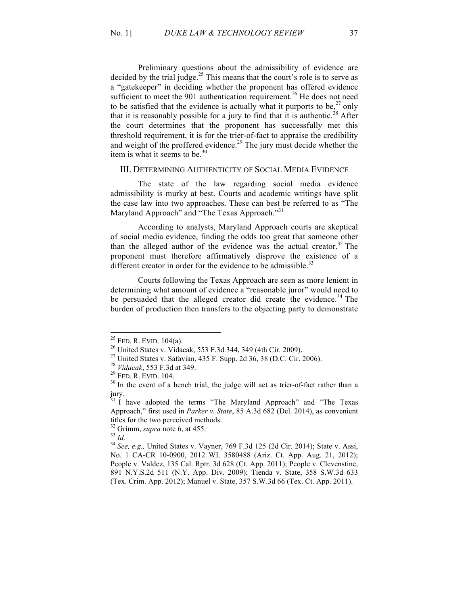Preliminary questions about the admissibility of evidence are decided by the trial judge.<sup>25</sup> This means that the court's role is to serve as a "gatekeeper" in deciding whether the proponent has offered evidence sufficient to meet the 901 authentication requirement.<sup>26</sup> He does not need to be satisfied that the evidence is actually what it purports to be,  $27$  only that it is reasonably possible for a jury to find that it is authentic.<sup>28</sup> After the court determines that the proponent has successfully met this threshold requirement, it is for the trier-of-fact to appraise the credibility and weight of the proffered evidence.<sup>29</sup> The jury must decide whether the item is what it seems to be.<sup>30</sup>

#### III. DETERMINING AUTHENTICITY OF SOCIAL MEDIA EVIDENCE

The state of the law regarding social media evidence admissibility is murky at best. Courts and academic writings have split the case law into two approaches. These can best be referred to as "The Maryland Approach" and "The Texas Approach."<sup>31</sup>

According to analysts, Maryland Approach courts are skeptical of social media evidence, finding the odds too great that someone other than the alleged author of the evidence was the actual creator. <sup>32</sup> The proponent must therefore affirmatively disprove the existence of a different creator in order for the evidence to be admissible.<sup>33</sup>

Courts following the Texas Approach are seen as more lenient in determining what amount of evidence a "reasonable juror" would need to be persuaded that the alleged creator did create the evidence.<sup>34</sup> The burden of production then transfers to the objecting party to demonstrate

<sup>&</sup>lt;sup>25</sup> FED. R. EVID. 104(a).<br>
<sup>26</sup> United States v. Vidacak, 553 F.3d 344, 349 (4th Cir. 2009).<br>
<sup>27</sup> United States v. Safavian, 435 F. Supp. 2d 36, 38 (D.C. Cir. 2006).<br>
<sup>28</sup> *Vidacak*, 553 F.3d at 349.<br>
<sup>29</sup> FED. R. EVID. jury.

 $31$  I have adopted the terms "The Maryland Approach" and "The Texas Approach," first used in *Parker v. State*, 85 A.3d 682 (Del. 2014), as convenient titles for the two perceived methods.

<sup>&</sup>lt;sup>32</sup> Grimm, *supra* note 6, at 455.<br><sup>33</sup> *Id.* 34 *See, e.g.*, United States v. Vayner, 769 F.3d 125 (2d Cir. 2014); State v. Assi, No. 1 CA-CR 10-0900, 2012 WL 3580488 (Ariz. Ct. App. Aug. 21, 2012); People v. Valdez, 135 Cal. Rptr. 3d 628 (Ct. App. 2011); People v. Clevenstine, 891 N.Y.S.2d 511 (N.Y. App. Div. 2009); Tienda v. State, 358 S.W.3d 633 (Tex. Crim. App. 2012); Manuel v. State, 357 S.W.3d 66 (Tex. Ct. App. 2011).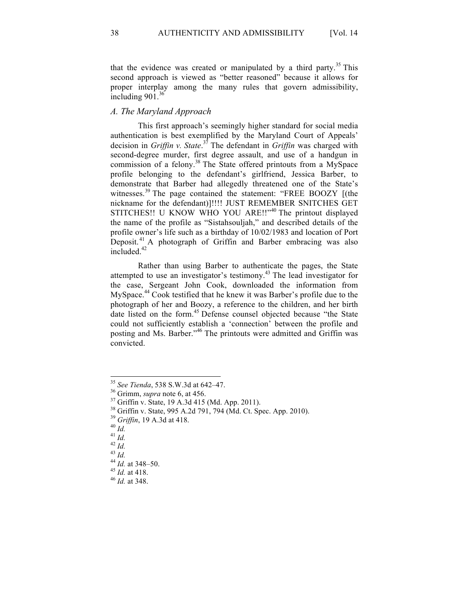that the evidence was created or manipulated by a third party.<sup>35</sup> This second approach is viewed as "better reasoned" because it allows for proper interplay among the many rules that govern admissibility, including  $901$ .<sup>36</sup>

## *A. The Maryland Approach*

This first approach's seemingly higher standard for social media authentication is best exemplified by the Maryland Court of Appeals' decision in *Griffin v. State*. <sup>37</sup> The defendant in *Griffin* was charged with second-degree murder, first degree assault, and use of a handgun in commission of a felony. <sup>38</sup> The State offered printouts from a MySpace profile belonging to the defendant's girlfriend, Jessica Barber, to demonstrate that Barber had allegedly threatened one of the State's witnesses.<sup>39</sup> The page contained the statement: "FREE BOOZY [(the nickname for the defendant)]!!!! JUST REMEMBER SNITCHES GET STITCHES!! U KNOW WHO YOU ARE!!"<sup>40</sup> The printout displayed the name of the profile as "Sistahsouljah," and described details of the profile owner's life such as a birthday of 10/02/1983 and location of Port Deposit. <sup>41</sup> A photograph of Griffin and Barber embracing was also included.<sup>42</sup>

Rather than using Barber to authenticate the pages, the State attempted to use an investigator's testimony. <sup>43</sup> The lead investigator for the case, Sergeant John Cook, downloaded the information from MySpace.<sup>44</sup> Cook testified that he knew it was Barber's profile due to the photograph of her and Boozy, a reference to the children, and her birth date listed on the form.<sup>45</sup> Defense counsel objected because "the State could not sufficiently establish a 'connection' between the profile and posting and Ms. Barber."<sup>46</sup> The printouts were admitted and Griffin was convicted.

<sup>&</sup>lt;sup>35</sup> See Tienda, 538 S.W.3d at 642-47.<br><sup>36</sup> Grimm, *supra* note 6, at 456.<br><sup>37</sup> Griffin v. State, 19 A.3d 415 (Md. App. 2011).<br><sup>38</sup> Griffin v. State, 995 A.2d 791, 794 (Md. Ct. Spec. App. 2010).<br><sup>39</sup> Griffin, 19 A.3d at 41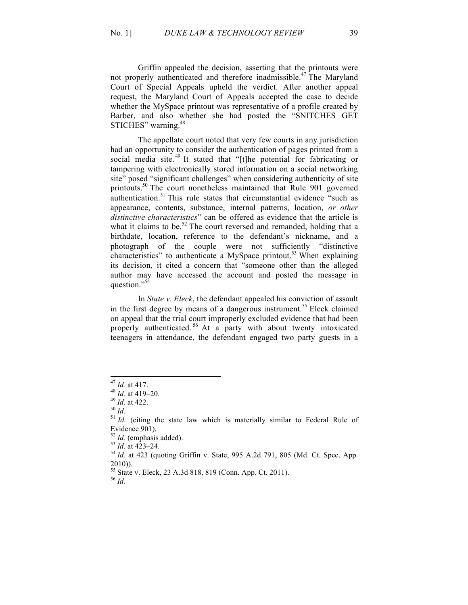Griffin appealed the decision, asserting that the printouts were not properly authenticated and therefore inadmissible.<sup>47</sup> The Maryland Court of Special Appeals upheld the verdict. After another appeal request, the Maryland Court of Appeals accepted the case to decide whether the MySpace printout was representative of a profile created by Barber, and also whether she had posted the "SNITCHES GET STICHES" warning.<sup>48</sup>

The appellate court noted that very few courts in any jurisdiction had an opportunity to consider the authentication of pages printed from a social media site.<sup>49</sup> It stated that "[t]he potential for fabricating or tampering with electronically stored information on a social networking site" posed "significant challenges" when considering authenticity of site printouts.<sup>50</sup> The court nonetheless maintained that Rule 901 governed authentication.<sup>51</sup> This rule states that circumstantial evidence "such as appearance, contents, substance, internal patterns, location, *or other distinctive characteristics*" can be offered as evidence that the article is what it claims to be.<sup>52</sup> The court reversed and remanded, holding that a birthdate, location, reference to the defendant's nickname, and a photograph of the couple were not sufficiently "distinctive characteristics" to authenticate a MySpace printout.<sup>53</sup> When explaining its decision, it cited a concern that "someone other than the alleged author may have accessed the account and posted the message in question."<sup>54</sup>

In *State v. Eleck*, the defendant appealed his conviction of assault in the first degree by means of a dangerous instrument.<sup>55</sup> Eleck claimed on appeal that the trial court improperly excluded evidence that had been properly authenticated.<sup>56</sup> At a party with about twenty intoxicated teenagers in attendance, the defendant engaged two party guests in a

<sup>&</sup>lt;sup>47</sup> *Id.* at 417.<br><sup>48</sup> *Id.* at 419–20.<br><sup>50</sup> *Id.* 51 *Id.* (citing the state law which is materially similar to Federal Rule of<br><sup>51</sup> *Id.* (citing the state law which is materially similar to Federal Rule of

Evidence 901).<br> $52$  *Id.* (emphasis added).

 $^{53}$  *Id.* at 423–24.  $^{54}$  *Id.* at 423 (quoting Griffin v. State, 995 A.2d 791, 805 (Md. Ct. Spec. App. 2010)).

<sup>55</sup> State v. Eleck, 23 A.3d 818, 819 (Conn. App. Ct. 2011). <sup>56</sup> *Id.*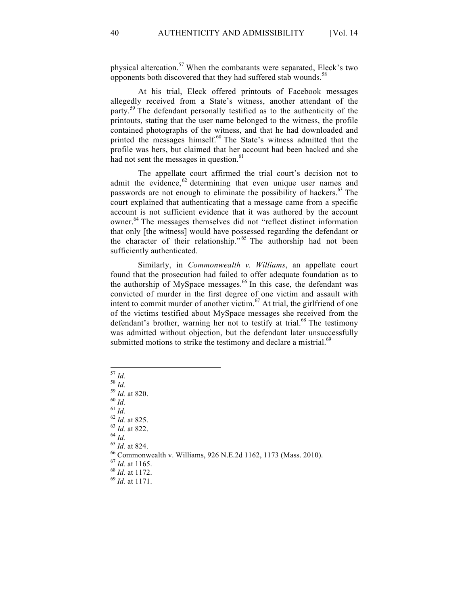physical altercation.<sup>57</sup> When the combatants were separated, Eleck's two opponents both discovered that they had suffered stab wounds.<sup>58</sup>

At his trial, Eleck offered printouts of Facebook messages allegedly received from a State's witness, another attendant of the party.<sup>59</sup> The defendant personally testified as to the authenticity of the printouts, stating that the user name belonged to the witness, the profile contained photographs of the witness, and that he had downloaded and printed the messages himself.<sup>60</sup> The State's witness admitted that the profile was hers, but claimed that her account had been hacked and she had not sent the messages in question.<sup>61</sup>

The appellate court affirmed the trial court's decision not to admit the evidence,  $62$  determining that even unique user names and passwords are not enough to eliminate the possibility of hackers.<sup>63</sup> The court explained that authenticating that a message came from a specific account is not sufficient evidence that it was authored by the account owner.<sup>64</sup> The messages themselves did not "reflect distinct information that only [the witness] would have possessed regarding the defendant or the character of their relationship."<sup>65</sup> The authorship had not been sufficiently authenticated.

Similarly, in *Commonwealth v. Williams*, an appellate court found that the prosecution had failed to offer adequate foundation as to the authorship of MySpace messages.<sup>66</sup> In this case, the defendant was convicted of murder in the first degree of one victim and assault with intent to commit murder of another victim. $67$  At trial, the girlfriend of one of the victims testified about MySpace messages she received from the defendant's brother, warning her not to testify at trial.<sup>68</sup> The testimony was admitted without objection, but the defendant later unsuccessfully submitted motions to strike the testimony and declare a mistrial. $69$ 

- 
- 
- 
- 
- 
- 
- 
- 
- 
- <sup>57</sup> *Id.*<br><sup>58</sup> *Id.*<br><sup>69</sup> *Id.*<br><sup>60</sup> *Id.*<br><sup>61</sup> *Id.*<br><sup>62</sup> *Id.* at 825.<br><sup>63</sup> *Id.* at 822.<br><sup>64</sup> *Id.*<br><sup>65</sup> *Id.* at 824.<br><sup>66</sup> Commonwealth v. Williams, 926 N.E.2d 1162, 1173 (Mass. 2010).<br><sup>67</sup> *Id.* at 1165.<br><sup>68</sup> *Id.* a
- 
- 
-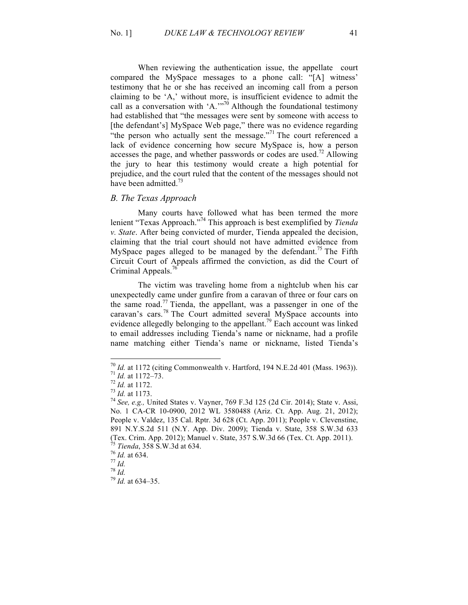When reviewing the authentication issue, the appellate court compared the MySpace messages to a phone call: "[A] witness' testimony that he or she has received an incoming call from a person claiming to be 'A,' without more, is insufficient evidence to admit the call as a conversation with  $'A$ ."<sup>70</sup> Although the foundational testimony had established that "the messages were sent by someone with access to [the defendant's] MySpace Web page," there was no evidence regarding "the person who actually sent the message."<sup>71</sup> The court referenced a lack of evidence concerning how secure MySpace is, how a person accesses the page, and whether passwords or codes are used.<sup>72</sup> Allowing the jury to hear this testimony would create a high potential for prejudice, and the court ruled that the content of the messages should not have been admitted. $^{73}$ 

## *B. The Texas Approach*

Many courts have followed what has been termed the more lenient "Texas Approach."<sup>74</sup> This approach is best exemplified by *Tienda v. State*. After being convicted of murder, Tienda appealed the decision, claiming that the trial court should not have admitted evidence from MySpace pages alleged to be managed by the defendant.<sup>75</sup> The Fifth Circuit Court of Appeals affirmed the conviction, as did the Court of Criminal Appeals.<sup>76</sup>

The victim was traveling home from a nightclub when his car unexpectedly came under gunfire from a caravan of three or four cars on the same road.<sup>77</sup> Tienda, the appellant, was a passenger in one of the caravan's cars.<sup>78</sup> The Court admitted several MySpace accounts into evidence allegedly belonging to the appellant.<sup>79</sup> Each account was linked to email addresses including Tienda's name or nickname, had a profile name matching either Tienda's name or nickname, listed Tienda's

<sup>&</sup>lt;sup>70</sup> *Id.* at 1172 (citing Commonwealth v. Hartford, 194 N.E.2d 401 (Mass. 1963)).<br>
<sup>71</sup> *Id.* at 1172–73.<br>
<sup>72</sup> *Id.* at 1172.<br>
<sup>73</sup> *Id.* at 1173.<br>
<sup>74</sup> *See, e.g.*, United States v. Vayner, 769 F.3d 125 (2d Cir. 2014);

No. 1 CA-CR 10-0900, 2012 WL 3580488 (Ariz. Ct. App. Aug. 21, 2012); People v. Valdez, 135 Cal. Rptr. 3d 628 (Ct. App. 2011); People v. Clevenstine, 891 N.Y.S.2d 511 (N.Y. App. Div. 2009); Tienda v. State, 358 S.W.3d 633 (Tex. Crim. App. 2012); Manuel v. State, 357 S.W.3d 66 (Tex. Ct. App. 2011). <sup>75</sup> *Tienda*, 358 S.W.3d at 634. <sup>76</sup> *Id.* at 634. 77 *Id.* <sup>78</sup> *Id.* <sup>79</sup> *Id.* at 634–35.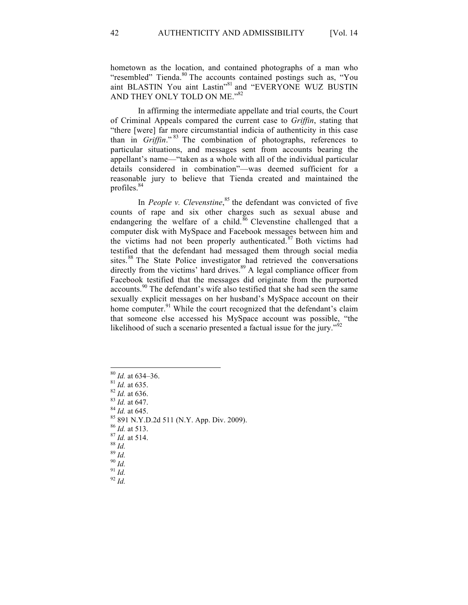hometown as the location, and contained photographs of a man who "resembled" Tienda.<sup>80</sup> The accounts contained postings such as, "You aint BLASTIN You aint Lastin"<sup>81</sup> and "EVERYONE WUZ BUSTIN AND THEY ONLY TOLD ON ME."82

In affirming the intermediate appellate and trial courts, the Court of Criminal Appeals compared the current case to *Griffin*, stating that "there [were] far more circumstantial indicia of authenticity in this case than in *Griffin*." <sup>83</sup> The combination of photographs, references to particular situations, and messages sent from accounts bearing the appellant's name—"taken as a whole with all of the individual particular details considered in combination"—was deemed sufficient for a reasonable jury to believe that Tienda created and maintained the profiles.<sup>84</sup>

In *People v. Clevenstine*,<sup>85</sup> the defendant was convicted of five counts of rape and six other charges such as sexual abuse and endangering the welfare of a child.<sup>86</sup> Clevenstine challenged that a computer disk with MySpace and Facebook messages between him and the victims had not been properly authenticated.<sup>87</sup> Both victims had testified that the defendant had messaged them through social media sites.<sup>88</sup> The State Police investigator had retrieved the conversations directly from the victims' hard drives.<sup>89</sup> A legal compliance officer from Facebook testified that the messages did originate from the purported accounts.<sup>90</sup> The defendant's wife also testified that she had seen the same sexually explicit messages on her husband's MySpace account on their home computer.<sup>91</sup> While the court recognized that the defendant's claim that someone else accessed his MySpace account was possible, "the likelihood of such a scenario presented a factual issue for the jury."<sup>92</sup>

<sup>80</sup> *Id.* at 634–36.<br>
<sup>81</sup> *Id.* at 635.<br>
<sup>82</sup> *Id.* at 635.<br>
<sup>83</sup> *Id.* at 647.<br>
<sup>84</sup> *Id.* at 645.<br>
<sup>85</sup> 891 N.Y.D.2d 511 (N.Y. App. Div. 2009).<br>
<sup>86</sup> *Id.* at 513.<br>
<sup>87</sup> *Id.* at 514.<br>
<sup>88</sup> *Id.*<br>
<sup>89</sup> *Id.*<br>
<sup>90</sup> *Id.*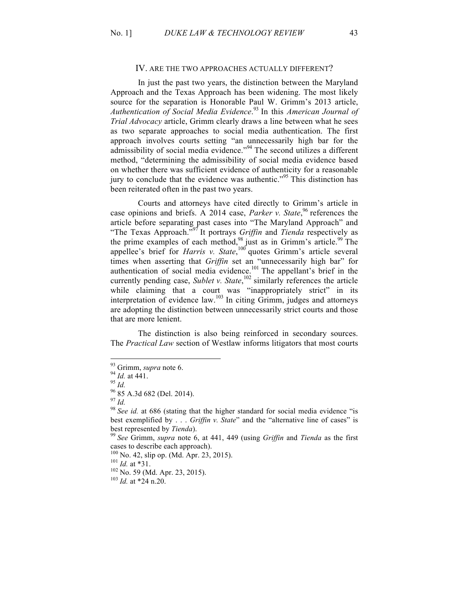#### IV. ARE THE TWO APPROACHES ACTUALLY DIFFERENT?

In just the past two years, the distinction between the Maryland Approach and the Texas Approach has been widening. The most likely source for the separation is Honorable Paul W. Grimm's 2013 article, *Authentication of Social Media Evidence*. <sup>93</sup> In this *American Journal of Trial Advocacy* article, Grimm clearly draws a line between what he sees as two separate approaches to social media authentication. The first approach involves courts setting "an unnecessarily high bar for the admissibility of social media evidence."<sup>94</sup> The second utilizes a different method, "determining the admissibility of social media evidence based on whether there was sufficient evidence of authenticity for a reasonable jury to conclude that the evidence was authentic."<sup>95</sup> This distinction has been reiterated often in the past two years.

Courts and attorneys have cited directly to Grimm's article in case opinions and briefs. A 2014 case, *Parker v. State*, <sup>96</sup> references the article before separating past cases into "The Maryland Approach" and "The Texas Approach."<sup>97</sup> It portrays *Griffin* and *Tienda* respectively as the prime examples of each method,<sup>98</sup> just as in Grimm's article.<sup>99</sup> The appellee's brief for *Harris v. State*, <sup>100</sup> quotes Grimm's article several times when asserting that *Griffin* set an "unnecessarily high bar" for authentication of social media evidence.<sup>101</sup> The appellant's brief in the currently pending case, *Sublet v. State*, <sup>102</sup> similarly references the article while claiming that a court was "inappropriately strict" in its interpretation of evidence law. $103$  In citing Grimm, judges and attorneys are adopting the distinction between unnecessarily strict courts and those that are more lenient.

The distinction is also being reinforced in secondary sources. The *Practical Law* section of Westlaw informs litigators that most courts

<sup>93</sup> Grimm, *supra* note 6.<br>
94 *Id.* at 441.<br>
95 *Id.*<br>
97 *Id.*<br>
98 *See id.* at 686 (stating that the higher standard for social media evidence "is"<br>
98 *See id.* at 686 (stating that the higher standard for social media best exemplified by . . . *Griffin v. State*" and the "alternative line of cases" is

best represented by *Tienda*). <sup>99</sup> *See* Grimm, *supra* note 6, at 441, 449 (using *Griffin* and *Tienda* as the first cases to describe each approach).<br><sup>100</sup> No. 42, slip op. (Md. Apr. 23, 2015).<br><sup>101</sup> *Id.* at \*31.<br><sup>102</sup> No. 59 (Md. Apr. 23, 2015).<br><sup>103</sup> *Id.* at \*24 n.20.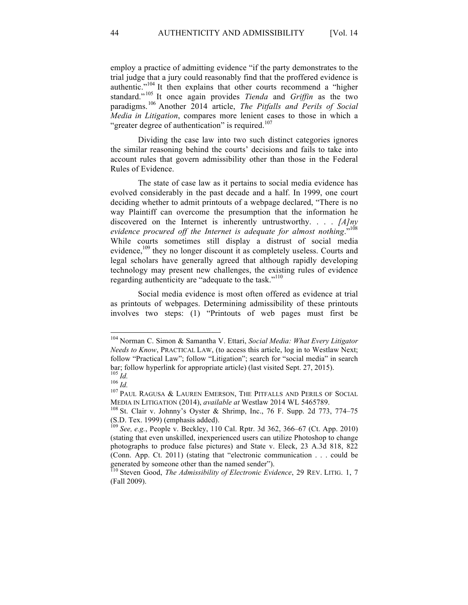employ a practice of admitting evidence "if the party demonstrates to the trial judge that a jury could reasonably find that the proffered evidence is authentic."<sup>104</sup> It then explains that other courts recommend a "higher standard." <sup>105</sup> It once again provides *Tienda* and *Griffin* as the two paradigms.<sup>106</sup> Another 2014 article, *The Pitfalls and Perils of Social Media in Litigation*, compares more lenient cases to those in which a "greater degree of authentication" is required.<sup>107</sup>

Dividing the case law into two such distinct categories ignores the similar reasoning behind the courts' decisions and fails to take into account rules that govern admissibility other than those in the Federal Rules of Evidence.

The state of case law as it pertains to social media evidence has evolved considerably in the past decade and a half. In 1999, one court deciding whether to admit printouts of a webpage declared, "There is no way Plaintiff can overcome the presumption that the information he discovered on the Internet is inherently untrustworthy. . . . *[A]ny evidence procured off the Internet is adequate for almost nothing*."<sup>108</sup> While courts sometimes still display a distrust of social media evidence,<sup>109</sup> they no longer discount it as completely useless. Courts and legal scholars have generally agreed that although rapidly developing technology may present new challenges, the existing rules of evidence regarding authenticity are "adequate to the task."<sup>110</sup>

Social media evidence is most often offered as evidence at trial as printouts of webpages. Determining admissibility of these printouts involves two steps: (1) "Printouts of web pages must first be

 <sup>104</sup> Norman C. Simon & Samantha V. Ettari, *Social Media: What Every Litigator Needs to Know*, PRACTICAL LAW, (to access this article, log in to Westlaw Next; follow "Practical Law"; follow "Litigation"; search for "social media" in search bar; follow hyperlink for appropriate article) (last visited Sept. 27, 2015).<br> $\frac{105}{Id}$ 

<sup>106</sup> *Id.*<br><sup>106</sup> *Id.* 2011 RAGUSA & LAUREN EMERSON, THE PITFALLS AND PERILS OF SOCIAL MEDIA IN LITIGATION (2014), *available at* Westlaw 2014 WL 5465789.<br><sup>108</sup> St. Clair v. Johnny's Oyster & Shrimp, Inc., 76 F. Supp. 2d 773, 774–75

<sup>(</sup>S.D. Tex. 1999) (emphasis added).

<sup>109</sup> *See, e.g.*, People v. Beckley, 110 Cal. Rptr. 3d 362, 366–67 (Ct. App. 2010) (stating that even unskilled, inexperienced users can utilize Photoshop to change photographs to produce false pictures) and State v. Eleck, 23 A.3d 818, 822 (Conn. App. Ct. 2011) (stating that "electronic communication . . . could be generated by someone other than the named sender").<br><sup>110</sup> Steven Good, *The Admissibility of Electronic Evidence*, 29 REV. LITIG. 1, 7

<sup>(</sup>Fall 2009).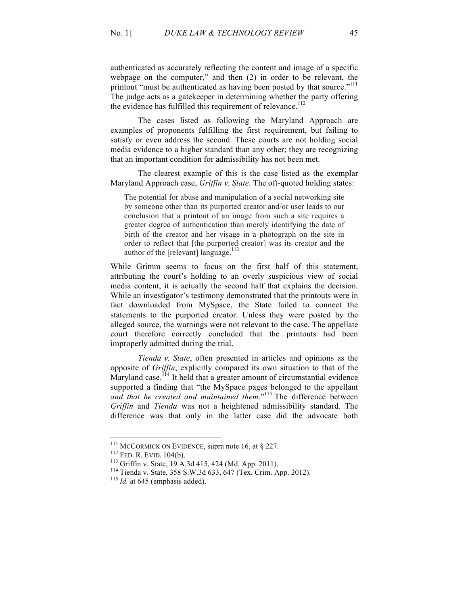authenticated as accurately reflecting the content and image of a specific webpage on the computer," and then (2) in order to be relevant, the printout "must be authenticated as having been posted by that source."<sup>111</sup> The judge acts as a gatekeeper in determining whether the party offering the evidence has fulfilled this requirement of relevance.<sup>112</sup>

The cases listed as following the Maryland Approach are examples of proponents fulfilling the first requirement, but failing to satisfy or even address the second. These courts are not holding social media evidence to a higher standard than any other; they are recognizing that an important condition for admissibility has not been met.

The clearest example of this is the case listed as the exemplar Maryland Approach case, *Griffin v. State*. The oft-quoted holding states:

The potential for abuse and manipulation of a social networking site by someone other than its purported creator and/or user leads to our conclusion that a printout of an image from such a site requires a greater degree of authentication than merely identifying the date of birth of the creator and her visage in a photograph on the site in order to reflect that [the purported creator] was its creator and the author of the [relevant] language.<sup>113</sup>

While Grimm seems to focus on the first half of this statement, attributing the court's holding to an overly suspicious view of social media content, it is actually the second half that explains the decision. While an investigator's testimony demonstrated that the printouts were in fact downloaded from MySpace, the State failed to connect the statements to the purported creator. Unless they were posted by the alleged source, the warnings were not relevant to the case. The appellate court therefore correctly concluded that the printouts had been improperly admitted during the trial.

*Tienda v. State*, often presented in articles and opinions as the opposite of *Griffin*, explicitly compared its own situation to that of the Maryland case.<sup>114</sup> It held that a greater amount of circumstantial evidence supported a finding that "the MySpace pages belonged to the appellant *and that he created and maintained them*."<sup>115</sup> The difference between *Griffin* and *Tienda* was not a heightened admissibility standard. The difference was that only in the latter case did the advocate both

<sup>&</sup>lt;sup>111</sup> MCCORMICK ON EVIDENCE, supra note 16, at § 227.<br><sup>112</sup> FED. R. EVID. 104(b).<br><sup>113</sup> Griffin v. State, 19 A.3d 415, 424 (Md. App. 2011).<br><sup>114</sup> Tienda v. State, 358 S.W.3d 633, 647 (Tex. Crim. App. 2012).<br><sup>115</sup> *Id.* at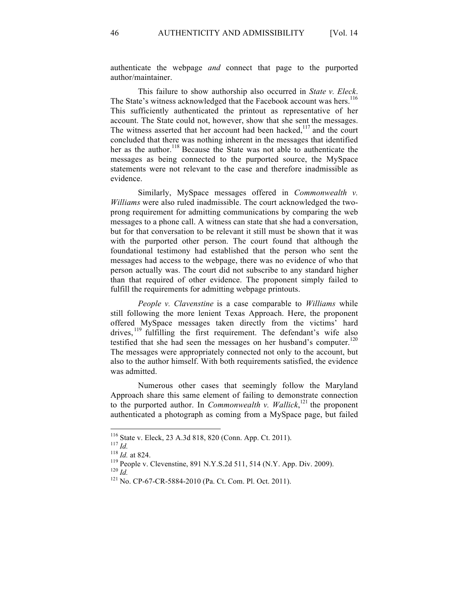authenticate the webpage *and* connect that page to the purported author/maintainer.

This failure to show authorship also occurred in *State v. Eleck*. The State's witness acknowledged that the Facebook account was hers.<sup>116</sup> This sufficiently authenticated the printout as representative of her account. The State could not, however, show that she sent the messages. The witness asserted that her account had been hacked, $117$  and the court concluded that there was nothing inherent in the messages that identified her as the author. <sup>118</sup> Because the State was not able to authenticate the messages as being connected to the purported source, the MySpace statements were not relevant to the case and therefore inadmissible as evidence.

Similarly, MySpace messages offered in *Commonwealth v. Williams* were also ruled inadmissible. The court acknowledged the twoprong requirement for admitting communications by comparing the web messages to a phone call. A witness can state that she had a conversation, but for that conversation to be relevant it still must be shown that it was with the purported other person. The court found that although the foundational testimony had established that the person who sent the messages had access to the webpage, there was no evidence of who that person actually was. The court did not subscribe to any standard higher than that required of other evidence. The proponent simply failed to fulfill the requirements for admitting webpage printouts.

*People v. Clavenstine* is a case comparable to *Williams* while still following the more lenient Texas Approach. Here, the proponent offered MySpace messages taken directly from the victims' hard drives, <sup>119</sup> fulfilling the first requirement. The defendant's wife also testified that she had seen the messages on her husband's computer.<sup>120</sup> The messages were appropriately connected not only to the account, but also to the author himself. With both requirements satisfied, the evidence was admitted.

Numerous other cases that seemingly follow the Maryland Approach share this same element of failing to demonstrate connection to the purported author. In *Commonwealth v. Wallick*<sup>121</sup>, the proponent authenticated a photograph as coming from a MySpace page, but failed

<sup>&</sup>lt;sup>116</sup> State v. Eleck, 23 A.3d 818, 820 (Conn. App. Ct. 2011).<br><sup>117</sup> *Id.*<br><sup>118</sup> *Id.* at 824.<br><sup>119</sup> People v. Clevenstine, 891 N.Y.S.2d 511, 514 (N.Y. App. Div. 2009).<br><sup>120</sup> *Id.*<br><sup>121</sup> No. CP-67-CR-5884-2010 (Pa. Ct. Com